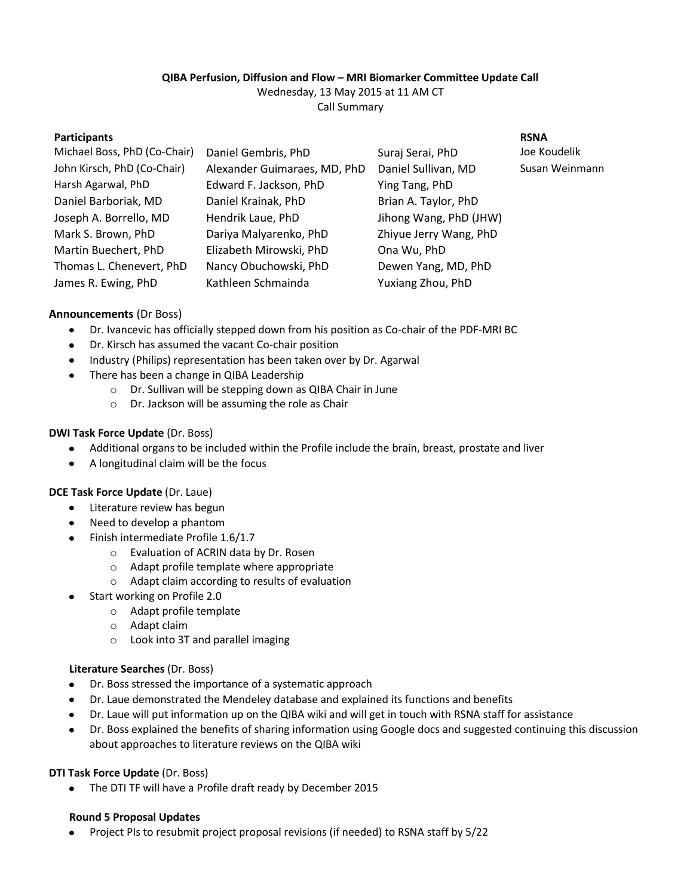# **QIBA Perfusion, Diffusion and Flow – MRI Biomarker Committee Update Call**

Wednesday, 13 May 2015 at 11 AM CT Call Summary

| <b>Participants</b>          |                              |                        | <b>RSNA</b>    |
|------------------------------|------------------------------|------------------------|----------------|
| Michael Boss, PhD (Co-Chair) | Daniel Gembris, PhD          | Suraj Serai, PhD       | Joe Koudelik   |
| John Kirsch, PhD (Co-Chair)  | Alexander Guimaraes, MD, PhD | Daniel Sullivan, MD    | Susan Weinmann |
| Harsh Agarwal, PhD           | Edward F. Jackson, PhD       | Ying Tang, PhD         |                |
| Daniel Barboriak, MD         | Daniel Krainak, PhD          | Brian A. Taylor, PhD   |                |
| Joseph A. Borrello, MD       | Hendrik Laue, PhD            | Jihong Wang, PhD (JHW) |                |
| Mark S. Brown, PhD           | Dariya Malyarenko, PhD       | Zhiyue Jerry Wang, PhD |                |
| Martin Buechert, PhD         | Elizabeth Mirowski, PhD      | Ona Wu, PhD            |                |
| Thomas L. Chenevert, PhD     | Nancy Obuchowski, PhD        | Dewen Yang, MD, PhD    |                |
| James R. Ewing, PhD          | Kathleen Schmainda           | Yuxiang Zhou, PhD      |                |
|                              |                              |                        |                |

### **Announcements** (Dr Boss)

- $\bullet$ Dr. Ivancevic has officially stepped down from his position as Co-chair of the PDF-MRI BC
- Dr. Kirsch has assumed the vacant Co-chair position  $\bullet$
- Industry (Philips) representation has been taken over by Dr. Agarwal
- There has been a change in QIBA Leadership  $\bullet$ 
	- o Dr. Sullivan will be stepping down as QIBA Chair in June
	- o Dr. Jackson will be assuming the role as Chair

#### **DWI Task Force Update** (Dr. Boss)

- $\bullet$ Additional organs to be included within the Profile include the brain, breast, prostate and liver
- A longitudinal claim will be the focus  $\bullet$

#### **DCE Task Force Update** (Dr. Laue)

- Literature review has begun
- Need to develop a phantom
- Finish intermediate Profile 1.6/1.7
	- o Evaluation of ACRIN data by Dr. Rosen
	- o Adapt profile template where appropriate
	- o Adapt claim according to results of evaluation
- $\bullet$ Start working on Profile 2.0
	- o Adapt profile template
	- o Adapt claim
	- o Look into 3T and parallel imaging

#### **Literature Searches** (Dr. Boss)

- Dr. Boss stressed the importance of a systematic approach  $\bullet$
- $\bullet$ Dr. Laue demonstrated the Mendeley database and explained its functions and benefits
- Dr. Laue will put information up on the QIBA wiki and will get in touch with RSNA staff for assistance
- Dr. Boss explained the benefits of sharing information using Google docs and suggested continuing this discussion  $\bullet$ about approaches to literature reviews on the QIBA wiki

#### **DTI Task Force Update** (Dr. Boss)

The DTI TF will have a Profile draft ready by December 2015  $\bullet$ 

#### **Round 5 Proposal Updates**

Project PIs to resubmit project proposal revisions (if needed) to RSNA staff by 5/22 $\bullet$